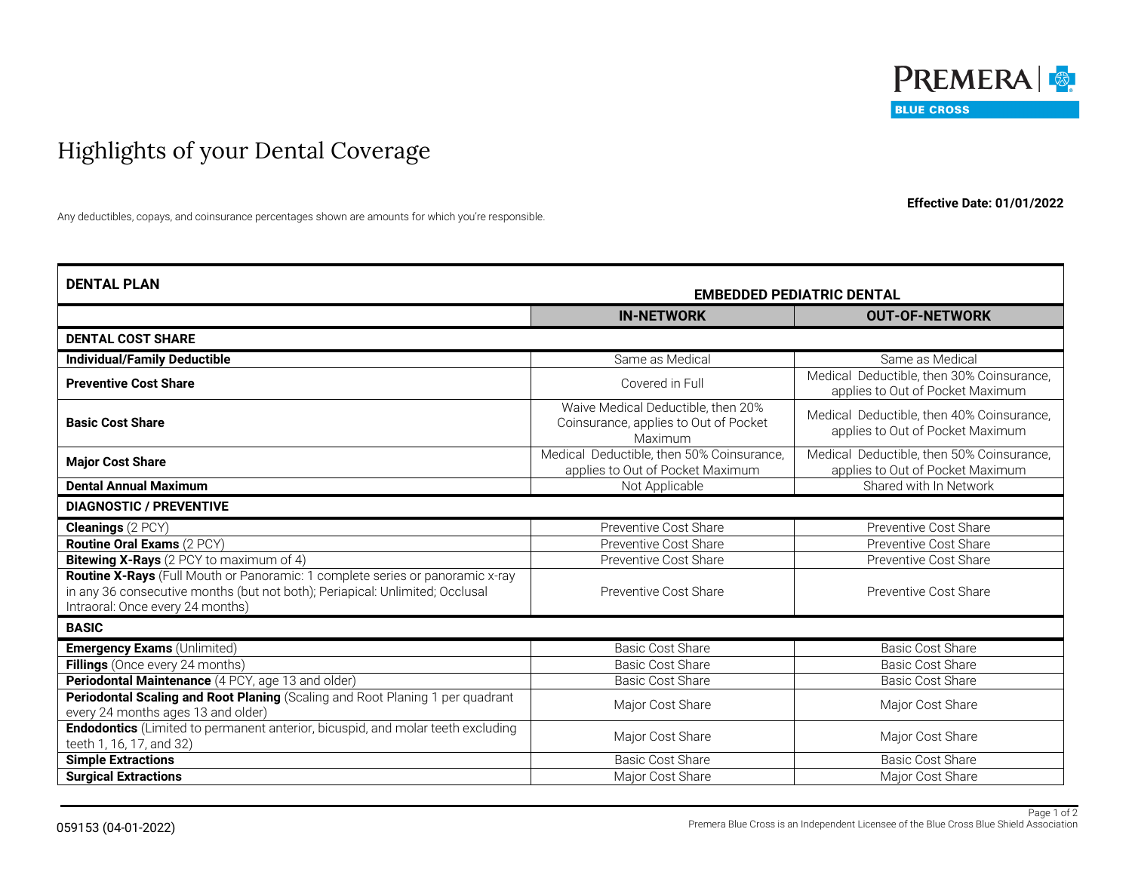

## Highlights of your Dental Coverage

**Effective Date: 01/01/2022**

Any deductibles, copays, and coinsurance percentages shown are amounts for which you're responsible.

| <b>DENTAL PLAN</b>                                                                                                                                                                                | <b>EMBEDDED PEDIATRIC DENTAL</b>                                                       |                                                                               |  |
|---------------------------------------------------------------------------------------------------------------------------------------------------------------------------------------------------|----------------------------------------------------------------------------------------|-------------------------------------------------------------------------------|--|
|                                                                                                                                                                                                   | <b>IN-NETWORK</b>                                                                      | <b>OUT-OF-NETWORK</b>                                                         |  |
| <b>DENTAL COST SHARE</b>                                                                                                                                                                          |                                                                                        |                                                                               |  |
| <b>Individual/Family Deductible</b>                                                                                                                                                               | Same as Medical                                                                        | Same as Medical                                                               |  |
| <b>Preventive Cost Share</b>                                                                                                                                                                      | Covered in Full                                                                        | Medical Deductible, then 30% Coinsurance,<br>applies to Out of Pocket Maximum |  |
| <b>Basic Cost Share</b>                                                                                                                                                                           | Waive Medical Deductible, then 20%<br>Coinsurance, applies to Out of Pocket<br>Maximum | Medical Deductible, then 40% Coinsurance,<br>applies to Out of Pocket Maximum |  |
| <b>Major Cost Share</b>                                                                                                                                                                           | Medical Deductible, then 50% Coinsurance,<br>applies to Out of Pocket Maximum          | Medical Deductible, then 50% Coinsurance,<br>applies to Out of Pocket Maximum |  |
| <b>Dental Annual Maximum</b>                                                                                                                                                                      | Not Applicable                                                                         | Shared with In Network                                                        |  |
| <b>DIAGNOSTIC / PREVENTIVE</b>                                                                                                                                                                    |                                                                                        |                                                                               |  |
| <b>Cleanings (2 PCY)</b>                                                                                                                                                                          | Preventive Cost Share                                                                  | Preventive Cost Share                                                         |  |
| Routine Oral Exams (2 PCY)                                                                                                                                                                        | Preventive Cost Share                                                                  | Preventive Cost Share                                                         |  |
| <b>Bitewing X-Rays</b> (2 PCY to maximum of 4)                                                                                                                                                    | Preventive Cost Share                                                                  | Preventive Cost Share                                                         |  |
| Routine X-Rays (Full Mouth or Panoramic: 1 complete series or panoramic x-ray<br>in any 36 consecutive months (but not both); Periapical: Unlimited; Occlusal<br>Intraoral: Once every 24 months) | Preventive Cost Share                                                                  | Preventive Cost Share                                                         |  |
| <b>BASIC</b>                                                                                                                                                                                      |                                                                                        |                                                                               |  |
| <b>Emergency Exams (Unlimited)</b>                                                                                                                                                                | <b>Basic Cost Share</b>                                                                | <b>Basic Cost Share</b>                                                       |  |
| Fillings (Once every 24 months)                                                                                                                                                                   | <b>Basic Cost Share</b>                                                                | <b>Basic Cost Share</b>                                                       |  |
| Periodontal Maintenance (4 PCY, age 13 and older)                                                                                                                                                 | <b>Basic Cost Share</b>                                                                | <b>Basic Cost Share</b>                                                       |  |
| Periodontal Scaling and Root Planing (Scaling and Root Planing 1 per quadrant<br>every 24 months ages 13 and older)                                                                               | Major Cost Share                                                                       | Major Cost Share                                                              |  |
| Endodontics (Limited to permanent anterior, bicuspid, and molar teeth excluding<br>teeth 1, 16, 17, and 32)                                                                                       | Major Cost Share                                                                       | Major Cost Share                                                              |  |
| <b>Simple Extractions</b>                                                                                                                                                                         | Basic Cost Share                                                                       | <b>Basic Cost Share</b>                                                       |  |
| <b>Surgical Extractions</b>                                                                                                                                                                       | Major Cost Share                                                                       | Major Cost Share                                                              |  |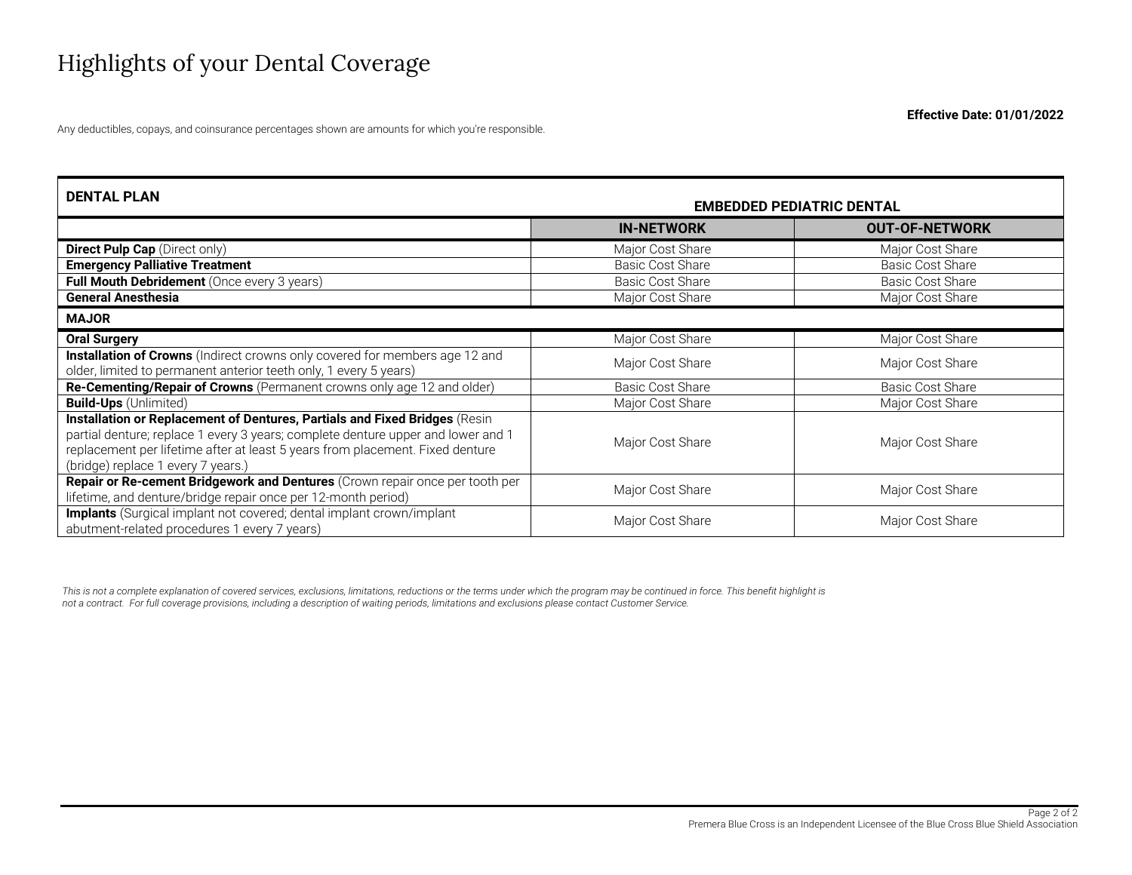## Highlights of your Dental Coverage

Any deductibles, copays, and coinsurance percentages shown are amounts for which you're responsible.

| <b>DENTAL PLAN</b>                                                                                                                                                                                                                                                                    | <b>EMBEDDED PEDIATRIC DENTAL</b> |                         |
|---------------------------------------------------------------------------------------------------------------------------------------------------------------------------------------------------------------------------------------------------------------------------------------|----------------------------------|-------------------------|
|                                                                                                                                                                                                                                                                                       | <b>IN-NETWORK</b>                | <b>OUT-OF-NETWORK</b>   |
| <b>Direct Pulp Cap</b> (Direct only)                                                                                                                                                                                                                                                  | Major Cost Share                 | Major Cost Share        |
| <b>Emergency Palliative Treatment</b>                                                                                                                                                                                                                                                 | <b>Basic Cost Share</b>          | <b>Basic Cost Share</b> |
| Full Mouth Debridement (Once every 3 years)                                                                                                                                                                                                                                           | <b>Basic Cost Share</b>          | <b>Basic Cost Share</b> |
| <b>General Anesthesia</b>                                                                                                                                                                                                                                                             | Major Cost Share                 | Major Cost Share        |
| <b>MAJOR</b>                                                                                                                                                                                                                                                                          |                                  |                         |
| <b>Oral Surgery</b>                                                                                                                                                                                                                                                                   | Major Cost Share                 | Major Cost Share        |
| <b>Installation of Crowns</b> (Indirect crowns only covered for members age 12 and<br>older, limited to permanent anterior teeth only, 1 every 5 years)                                                                                                                               | Major Cost Share                 | Major Cost Share        |
| Re-Cementing/Repair of Crowns (Permanent crowns only age 12 and older)                                                                                                                                                                                                                | <b>Basic Cost Share</b>          | <b>Basic Cost Share</b> |
| <b>Build-Ups</b> (Unlimited)                                                                                                                                                                                                                                                          | Major Cost Share                 | Major Cost Share        |
| Installation or Replacement of Dentures, Partials and Fixed Bridges (Resin<br>partial denture; replace 1 every 3 years; complete denture upper and lower and 1<br>replacement per lifetime after at least 5 years from placement. Fixed denture<br>(bridge) replace 1 every 7 years.) | Major Cost Share                 | Major Cost Share        |
| Repair or Re-cement Bridgework and Dentures (Crown repair once per tooth per<br>lifetime, and denture/bridge repair once per 12-month period)                                                                                                                                         | Major Cost Share                 | Major Cost Share        |
| <b>Implants</b> (Surgical implant not covered; dental implant crown/implant<br>abutment-related procedures 1 every 7 years)                                                                                                                                                           | Major Cost Share                 | Major Cost Share        |

This is not a complete explanation of covered services, exclusions, limitations, reductions or the terms under which the program may be continued in force. This benefit highlight is *not a contract. For full coverage provisions, including a description of waiting periods, limitations and exclusions please contact Customer Service.*

**Effective Date: 01/01/2022**